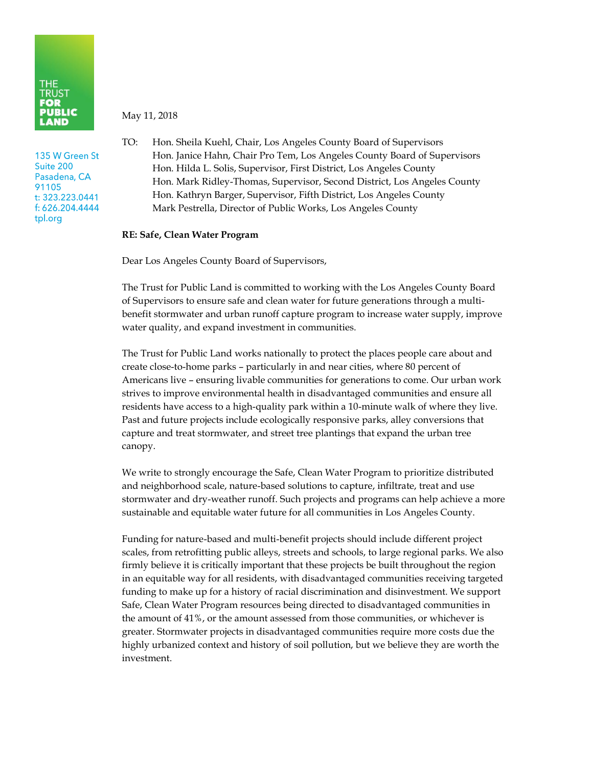

135 W Green St Suite 200 Pasadena, CA 91105 t: 323.223.0441 f: 626.204.4444 tpl.org

May 11, 2018

TO: Hon. Sheila Kuehl, Chair, Los Angeles County Board of Supervisors Hon. Janice Hahn, Chair Pro Tem, Los Angeles County Board of Supervisors Hon. Hilda L. Solis, Supervisor, First District, Los Angeles County Hon. Mark Ridley-Thomas, Supervisor, Second District, Los Angeles County Hon. Kathryn Barger, Supervisor, Fifth District, Los Angeles County Mark Pestrella, Director of Public Works, Los Angeles County

## **RE: Safe, Clean Water Program**

Dear Los Angeles County Board of Supervisors,

The Trust for Public Land is committed to working with the Los Angeles County Board of Supervisors to ensure safe and clean water for future generations through a multibenefit stormwater and urban runoff capture program to increase water supply, improve water quality, and expand investment in communities.

The Trust for Public Land works nationally to protect the places people care about and create close-to-home parks – particularly in and near cities, where 80 percent of Americans live – ensuring livable communities for generations to come. Our urban work strives to improve environmental health in disadvantaged communities and ensure all residents have access to a high-quality park within a 10-minute walk of where they live. Past and future projects include ecologically responsive parks, alley conversions that capture and treat stormwater, and street tree plantings that expand the urban tree canopy.

We write to strongly encourage the Safe, Clean Water Program to prioritize distributed and neighborhood scale, nature-based solutions to capture, infiltrate, treat and use stormwater and dry-weather runoff. Such projects and programs can help achieve a more sustainable and equitable water future for all communities in Los Angeles County.

Funding for nature-based and multi-benefit projects should include different project scales, from retrofitting public alleys, streets and schools, to large regional parks. We also firmly believe it is critically important that these projects be built throughout the region in an equitable way for all residents, with disadvantaged communities receiving targeted funding to make up for a history of racial discrimination and disinvestment. We support Safe, Clean Water Program resources being directed to disadvantaged communities in the amount of 41%, or the amount assessed from those communities, or whichever is greater. Stormwater projects in disadvantaged communities require more costs due the highly urbanized context and history of soil pollution, but we believe they are worth the investment.